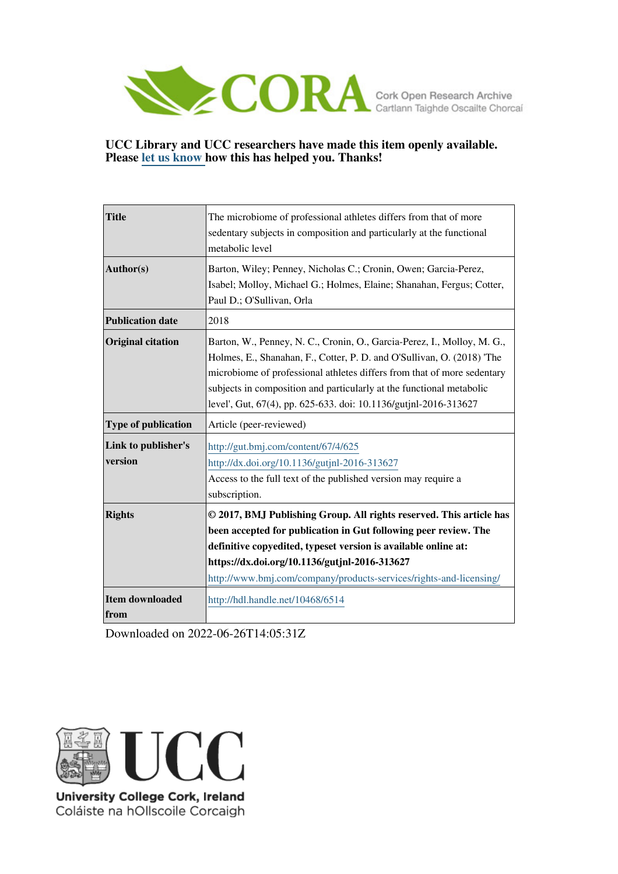

## **UCC Library and UCC researchers have made this item openly available. Please [let us know h](https://libguides.ucc.ie/openaccess/impact?suffix=6514&title=The microbiome of professional athletes differs from that of more sedentary subjects in composition and particularly at the functional metabolic level)ow this has helped you. Thanks!**

| <b>Title</b>                   | The microbiome of professional athletes differs from that of more<br>sedentary subjects in composition and particularly at the functional<br>metabolic level                                                                                                                                                                                                             |  |  |  |  |  |  |
|--------------------------------|--------------------------------------------------------------------------------------------------------------------------------------------------------------------------------------------------------------------------------------------------------------------------------------------------------------------------------------------------------------------------|--|--|--|--|--|--|
| Author(s)                      | Barton, Wiley; Penney, Nicholas C.; Cronin, Owen; Garcia-Perez,<br>Isabel; Molloy, Michael G.; Holmes, Elaine; Shanahan, Fergus; Cotter,<br>Paul D.; O'Sullivan, Orla                                                                                                                                                                                                    |  |  |  |  |  |  |
| <b>Publication date</b>        | 2018                                                                                                                                                                                                                                                                                                                                                                     |  |  |  |  |  |  |
| <b>Original citation</b>       | Barton, W., Penney, N. C., Cronin, O., Garcia-Perez, I., Molloy, M. G.,<br>Holmes, E., Shanahan, F., Cotter, P. D. and O'Sullivan, O. (2018) 'The<br>microbiome of professional athletes differs from that of more sedentary<br>subjects in composition and particularly at the functional metabolic<br>level', Gut, 67(4), pp. 625-633. doi: 10.1136/gutjnl-2016-313627 |  |  |  |  |  |  |
| Type of publication            | Article (peer-reviewed)                                                                                                                                                                                                                                                                                                                                                  |  |  |  |  |  |  |
| Link to publisher's<br>version | http://gut.bmj.com/content/67/4/625<br>http://dx.doi.org/10.1136/gutjnl-2016-313627<br>Access to the full text of the published version may require a<br>subscription.                                                                                                                                                                                                   |  |  |  |  |  |  |
| <b>Rights</b>                  | © 2017, BMJ Publishing Group. All rights reserved. This article has<br>been accepted for publication in Gut following peer review. The<br>definitive copyedited, typeset version is available online at:<br>https://dx.doi.org/10.1136/gutjnl-2016-313627<br>http://www.bmj.com/company/products-services/rights-and-licensing/                                          |  |  |  |  |  |  |
| <b>Item downloaded</b><br>from | http://hdl.handle.net/10468/6514                                                                                                                                                                                                                                                                                                                                         |  |  |  |  |  |  |

Downloaded on 2022-06-26T14:05:31Z



University College Cork, Ireland Coláiste na hOllscoile Corcaigh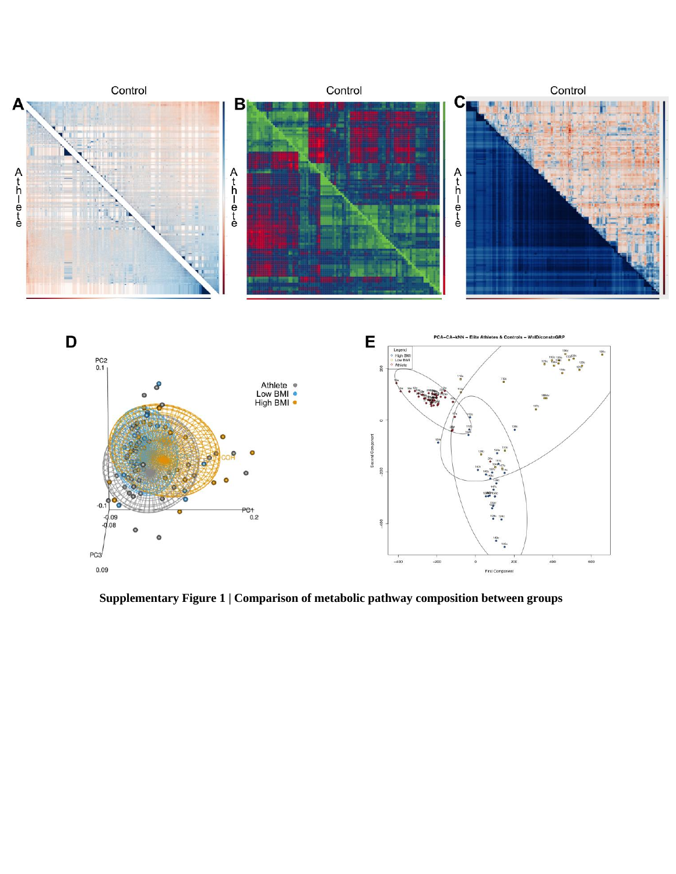

**Supplementary Figure 1 | Comparison of metabolic pathway composition between groups**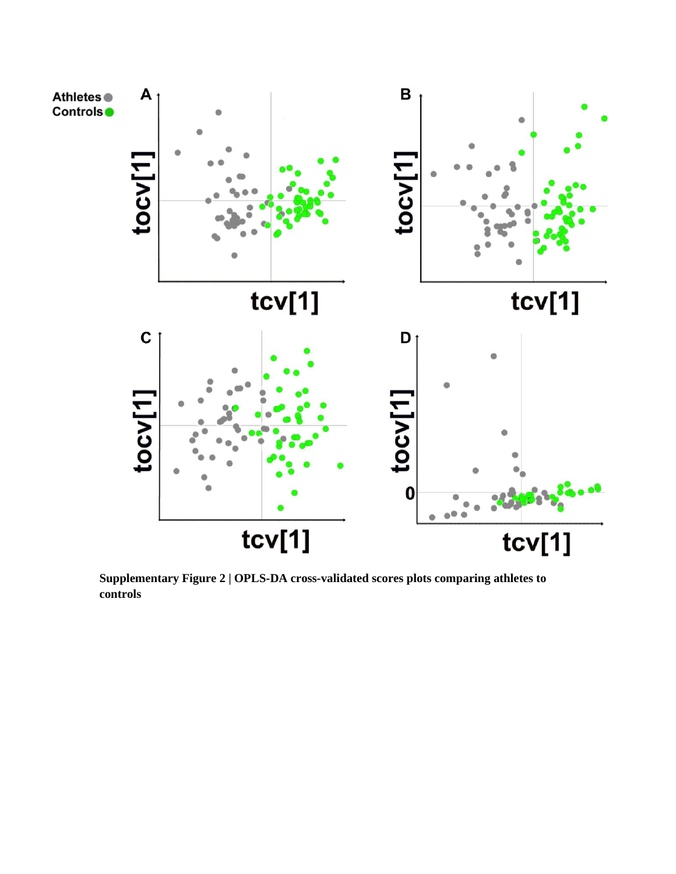

**Supplementary Figure 2 | OPLS-DA cross-validated scores plots comparing athletes to controls**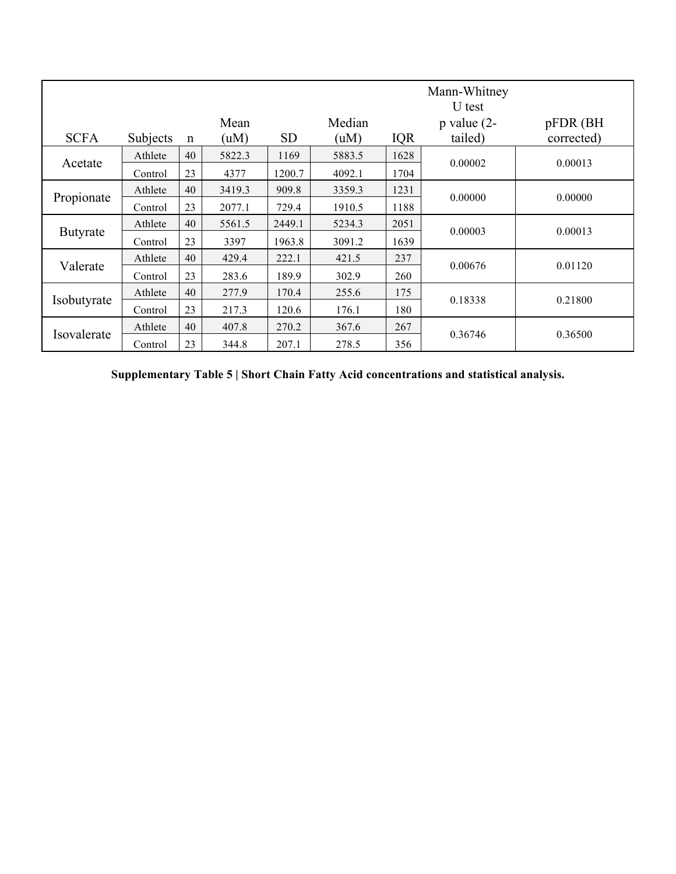| <b>SCFA</b> | Subjects | n  | Mean<br>(uM) | <b>SD</b> | Median<br>(uM) | <b>IQR</b> | Mann-Whitney<br>U test<br>$p$ value (2-<br>tailed) | pFDR (BH<br>corrected) |  |
|-------------|----------|----|--------------|-----------|----------------|------------|----------------------------------------------------|------------------------|--|
| Acetate     | Athlete  | 40 | 5822.3       | 1169      | 5883.5         | 1628       |                                                    | 0.00013                |  |
|             | Control  | 23 | 4377         | 1200.7    | 4092.1         | 1704       | 0.00002                                            |                        |  |
| Propionate  | Athlete  | 40 | 3419.3       | 909.8     | 3359.3         | 1231       | 0.00000                                            | 0.00000                |  |
|             | Control  | 23 | 2077.1       | 729.4     | 1910.5         | 1188       |                                                    |                        |  |
| Butyrate    | Athlete  | 40 | 5561.5       | 2449.1    | 5234.3         | 2051       | 0.00003                                            | 0.00013                |  |
|             | Control  | 23 | 3397         | 1963.8    | 3091.2         | 1639       |                                                    |                        |  |
| Valerate    | Athlete  | 40 | 429.4        | 222.1     | 421.5          | 237        | 0.00676                                            | 0.01120                |  |
|             | Control  | 23 | 283.6        | 189.9     | 302.9          | 260        |                                                    |                        |  |
| Isobutyrate | Athlete  | 40 | 277.9        | 170.4     | 255.6          | 175        | 0.18338                                            | 0.21800                |  |
|             | Control  | 23 | 217.3        | 120.6     | 176.1          | 180        |                                                    |                        |  |
| Isovalerate | Athlete  | 40 | 407.8        | 270.2     | 367.6          | 267        | 0.36746                                            | 0.36500                |  |
|             | Control  | 23 | 344.8        | 207.1     | 278.5          | 356        |                                                    |                        |  |

**Supplementary Table 5 | Short Chain Fatty Acid concentrations and statistical analysis.**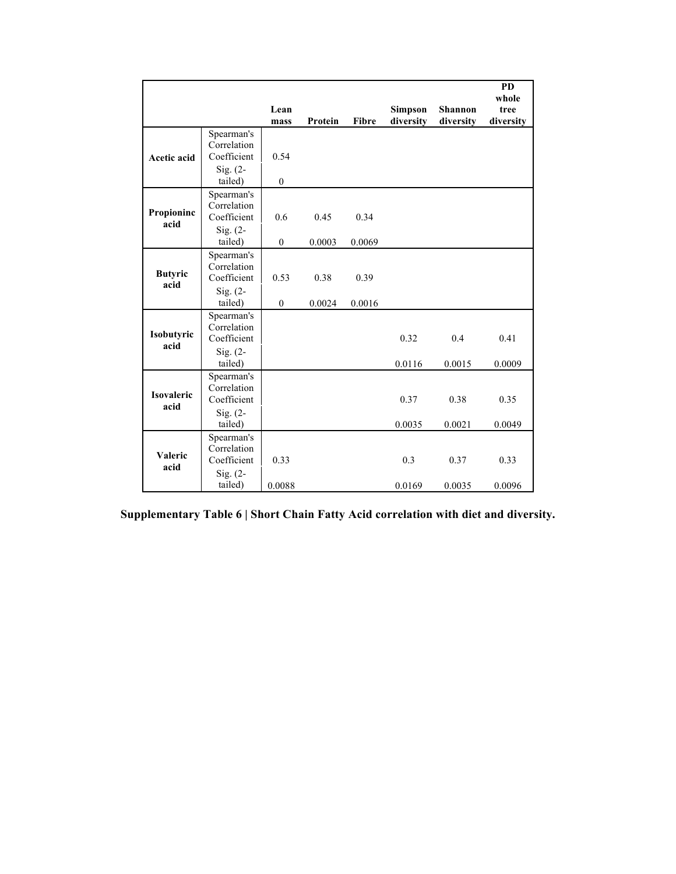|                           |                                                                   | Lean<br>mass             | Protein        | Fibre          | <b>Simpson</b><br>diversity | <b>Shannon</b><br>diversity | <b>PD</b><br>whole<br>tree<br>diversity |
|---------------------------|-------------------------------------------------------------------|--------------------------|----------------|----------------|-----------------------------|-----------------------------|-----------------------------------------|
| <b>Acetic acid</b>        | Spearman's<br>Correlation<br>Coefficient<br>$Sig. (2-$<br>tailed) | 0.54<br>$\boldsymbol{0}$ |                |                |                             |                             |                                         |
| Propioninc<br>acid        | Spearman's<br>Correlation<br>Coefficient<br>Sig. $(2-$<br>tailed) | 0.6<br>$\boldsymbol{0}$  | 0.45<br>0.0003 | 0.34<br>0.0069 |                             |                             |                                         |
| <b>Butyric</b><br>acid    | Spearman's<br>Correlation<br>Coefficient<br>Sig. $(2-$<br>tailed) | 0.53<br>$\mathbf{0}$     | 0.38<br>0.0024 | 0.39<br>0.0016 |                             |                             |                                         |
| Isobutyric<br>acid        | Spearman's<br>Correlation<br>Coefficient<br>Sig. $(2-$<br>tailed) |                          |                |                | 0.32<br>0.0116              | 0.4<br>0.0015               | 0.41<br>0.0009                          |
| <b>Isovaleric</b><br>acid | Spearman's<br>Correlation<br>Coefficient<br>$Sig. (2-$<br>tailed) |                          |                |                | 0.37<br>0.0035              | 0.38<br>0.0021              | 0.35<br>0.0049                          |
| Valeric<br>acid           | Spearman's<br>Correlation<br>Coefficient<br>Sig. $(2-$<br>tailed) | 0.33<br>0.0088           |                |                | 0.3<br>0.0169               | 0.37<br>0.0035              | 0.33<br>0.0096                          |

**Supplementary Table 6 | Short Chain Fatty Acid correlation with diet and diversity.**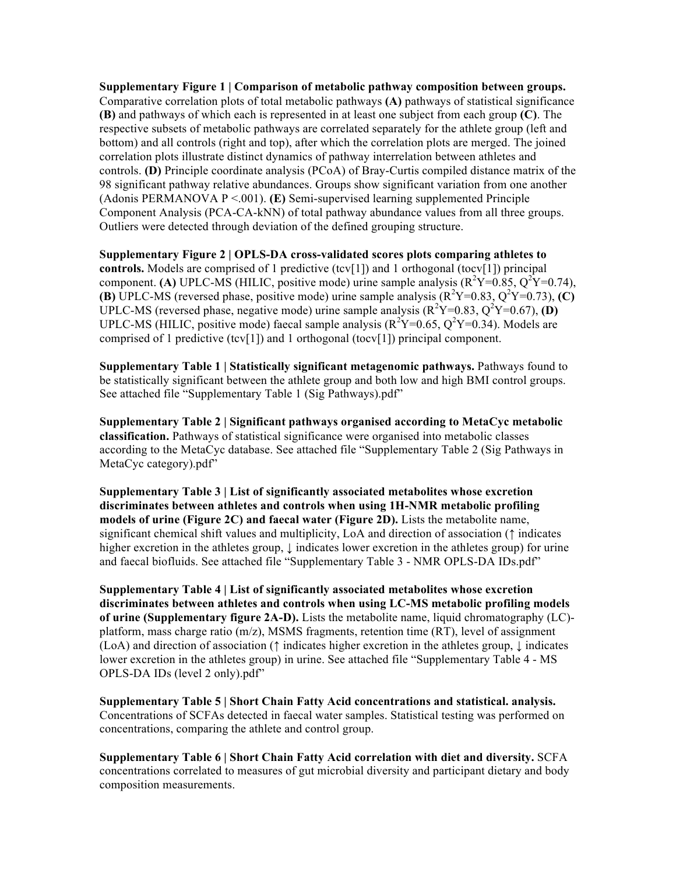**Supplementary Figure 1 | Comparison of metabolic pathway composition between groups.** Comparative correlation plots of total metabolic pathways **(A)** pathways of statistical significance **(B)** and pathways of which each is represented in at least one subject from each group **(C)**. The respective subsets of metabolic pathways are correlated separately for the athlete group (left and bottom) and all controls (right and top), after which the correlation plots are merged. The joined correlation plots illustrate distinct dynamics of pathway interrelation between athletes and controls. **(D)** Principle coordinate analysis (PCoA) of Bray-Curtis compiled distance matrix of the 98 significant pathway relative abundances. Groups show significant variation from one another (Adonis PERMANOVA P <.001). **(E)** Semi-supervised learning supplemented Principle Component Analysis (PCA-CA-kNN) of total pathway abundance values from all three groups. Outliers were detected through deviation of the defined grouping structure.

**Supplementary Figure 2 | OPLS-DA cross-validated scores plots comparing athletes to controls.** Models are comprised of 1 predictive (tcv[1]) and 1 orthogonal (tocv[1]) principal component. **(A)** UPLC-MS (HILIC, positive mode) urine sample analysis  $(R^2Y=0.85, Q^2Y=0.74)$ , **(B)** UPLC-MS (reversed phase, positive mode) urine sample analysis  $(R^2Y=0.83, Q^2Y=0.73)$ , **(C)** UPLC-MS (reversed phase, negative mode) urine sample analysis  $(R^2Y=0.83, Q^2Y=0.67)$ , **(D)** UPLC-MS (HILIC, positive mode) faecal sample analysis ( $R^2Y=0.65$ ,  $Q^2Y=0.34$ ). Models are comprised of 1 predictive (tcv[1]) and 1 orthogonal (tocv[1]) principal component.

**Supplementary Table 1 | Statistically significant metagenomic pathways.** Pathways found to be statistically significant between the athlete group and both low and high BMI control groups. See attached file "Supplementary Table 1 (Sig Pathways).pdf"

**Supplementary Table 2 | Significant pathways organised according to MetaCyc metabolic classification.** Pathways of statistical significance were organised into metabolic classes according to the MetaCyc database. See attached file "Supplementary Table 2 (Sig Pathways in MetaCyc category).pdf"

**Supplementary Table 3 | List of significantly associated metabolites whose excretion discriminates between athletes and controls when using 1H-NMR metabolic profiling models of urine (Figure 2C) and faecal water (Figure 2D).** Lists the metabolite name, significant chemical shift values and multiplicity, LoA and direction of association (↑ indicates higher excretion in the athletes group,  $\downarrow$  indicates lower excretion in the athletes group) for urine and faecal biofluids. See attached file "Supplementary Table 3 - NMR OPLS-DA IDs.pdf"

**Supplementary Table 4 | List of significantly associated metabolites whose excretion discriminates between athletes and controls when using LC-MS metabolic profiling models of urine (Supplementary figure 2A-D).** Lists the metabolite name, liquid chromatography (LC) platform, mass charge ratio (m/z), MSMS fragments, retention time (RT), level of assignment (LoA) and direction of association ( $\uparrow$  indicates higher excretion in the athletes group,  $\downarrow$  indicates lower excretion in the athletes group) in urine. See attached file "Supplementary Table 4 - MS OPLS-DA IDs (level 2 only).pdf"

**Supplementary Table 5 | Short Chain Fatty Acid concentrations and statistical. analysis.** Concentrations of SCFAs detected in faecal water samples. Statistical testing was performed on concentrations, comparing the athlete and control group.

**Supplementary Table 6 | Short Chain Fatty Acid correlation with diet and diversity.** SCFA concentrations correlated to measures of gut microbial diversity and participant dietary and body composition measurements.